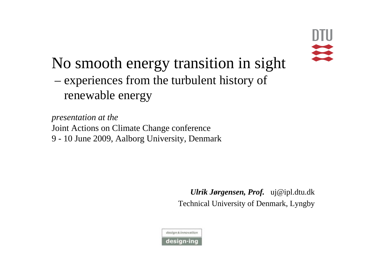

### No smooth energy transition in sight – experiences from the turbulent history of

renewable energy

*presentation at the*  Joint Actions on Climate Change conference 9 - 10 June 2009, Aalborg University, Denmark

> *Ulrik Jørgensen, Prof.* uj@ipl.dtu.dk Technical University of Denmark, Lyngby

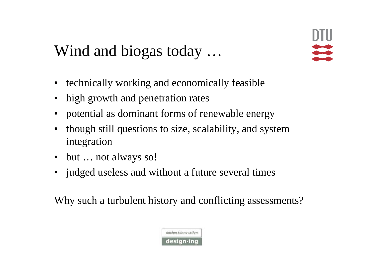#### Wind and biogas today …

- technically working and economically feasible
- high growth and penetration rates
- potential as dominant forms of renewable energy
- though still questions to size, scalability, and system integration
- but ... not always so!
- judged useless and without a future several times

Why such a turbulent history and conflicting assessments?

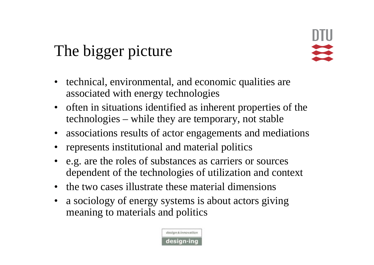### The bigger picture

- technical, environmental, and economic qualities are associated with energy technologies
- often in situations identified as inherent properties of the technologies – while they are temporary, not stable
- associations results of actor engagements and mediations
- represents institutional and material politics
- e.g. are the roles of substances as carriers or sources dependent of the technologies of utilization and context
- the two cases illustrate these material dimensions
- a sociology of energy systems is about actors giving meaning to materials and politics

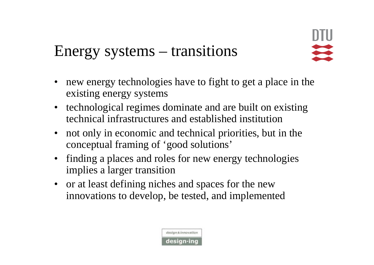#### Energy systems – transitions

- new energy technologies have to fight to get a place in the existing energy systems
- technological regimes dominate and are built on existing technical infrastructures and established institution
- not only in economic and technical priorities, but in the conceptual framing of 'good solutions'
- finding a places and roles for new energy technologies implies a larger transition
- or at least defining niches and spaces for the new innovations to develop, be tested, and implemented

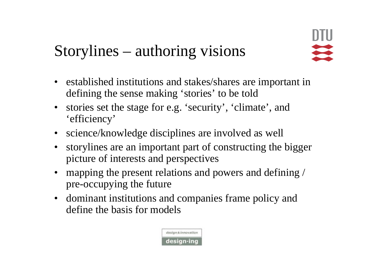## Storylines – authoring visions

- established institutions and stakes/shares are important in defining the sense making 'stories' to be told
- stories set the stage for e.g. 'security', 'climate', and 'efficiency'
- science/knowledge disciplines are involved as well
- storylines are an important part of constructing the bigger picture of interests and perspectives
- mapping the present relations and powers and defining / pre-occupying the future
- dominant institutions and companies frame policy and define the basis for models

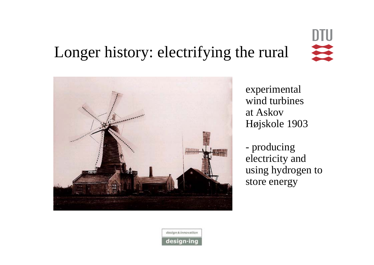#### **DTU** Longer history: electrifying the rural



experimental wind turbinesat Askov Højskole 1903

- producing electricity and using hydrogen to store energy

design & innovation design-ing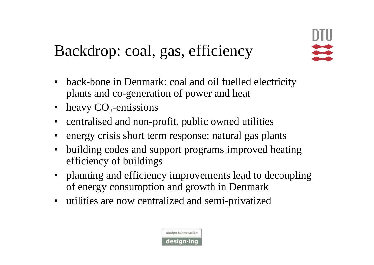### Backdrop: coal, gas, efficiency

- back-bone in Denmark: coal and oil fuelled electricity plants and co-generation of power and heat
- heavy  $CO<sub>2</sub>$ -emissions
- centralised and non-profit, public owned utilities
- energy crisis short term response: natural gas plants
- building codes and support programs improved heating efficiency of buildings
- planning and efficiency improvements lead to decoupling of energy consumption and growth in Denmark
- utilities are now centralized and semi-privatized

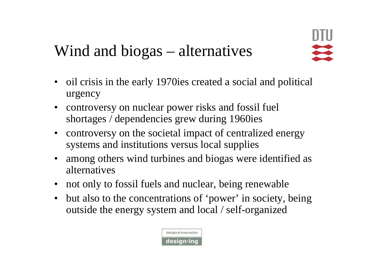### Wind and biogas – alternatives

- oil crisis in the early 1970ies created a social and political urgency
- controversy on nuclear power risks and fossil fuel shortages / dependencies grew during 1960ies
- controversy on the societal impact of centralized energy systems and institutions versus local supplies
- among others wind turbines and biogas were identified as alternatives
- not only to fossil fuels and nuclear, being renewable
- but also to the concentrations of 'power' in society, being outside the energy system and local / self-organized

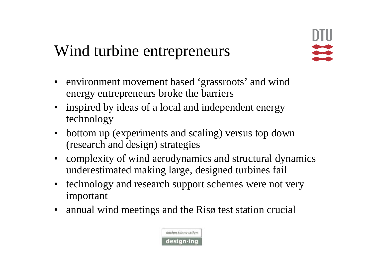#### Wind turbine entrepreneurs

- environment movement based 'grassroots' and wind energy entrepreneurs broke the barriers
- inspired by ideas of a local and independent energy technology
- bottom up (experiments and scaling) versus top down (research and design) strategies
- complexity of wind aerodynamics and structural dynamics underestimated making large, designed turbines fail
- technology and research support schemes were not very important
- annual wind meetings and the Risø test station crucial

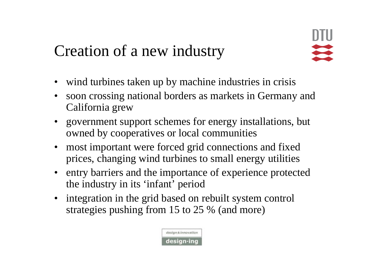### Creation of a new industry

- wind turbines taken up by machine industries in crisis
- soon crossing national borders as markets in Germany and California grew
- government support schemes for energy installations, but owned by cooperatives or local communities
- most important were forced grid connections and fixed prices, changing wind turbines to small energy utilities
- entry barriers and the importance of experience protected the industry in its 'infant' period
- integration in the grid based on rebuilt system control strategies pushing from 15 to 25 % (and more)

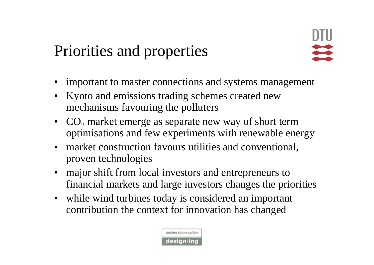### Priorities and properties

- important to master connections and systems management
- Kyoto and emissions trading schemes created new mechanisms favouring the polluters
- $CO<sub>2</sub>$  market emerge as separate new way of short term optimisations and few experiments with renewable energy
- market construction favours utilities and conventional, proven technologies
- major shift from local investors and entrepreneurs to financial markets and large investors changes the priorities
- while wind turbines today is considered an important contribution the context for innovation has changed

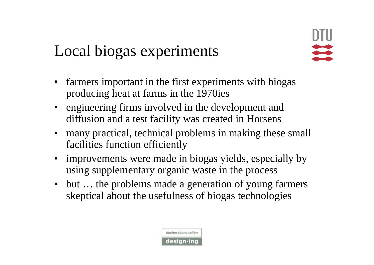#### Local biogas experiments

- farmers important in the first experiments with biogas producing heat at farms in the 1970ies
- engineering firms involved in the development and diffusion and a test facility was created in Horsens
- many practical, technical problems in making these small facilities function efficiently
- improvements were made in biogas yields, especially by using supplementary organic waste in the process
- but ... the problems made a generation of young farmers skeptical about the usefulness of biogas technologies

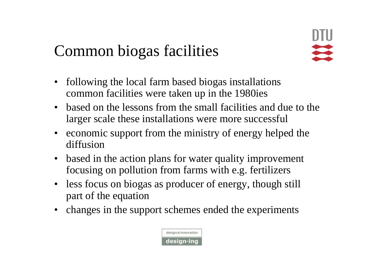### Common biogas facilities



- following the local farm based biogas installations common facilities were taken up in the 1980ies
- based on the lessons from the small facilities and due to the larger scale these installations were more successful
- economic support from the ministry of energy helped the diffusion
- based in the action plans for water quality improvement focusing on pollution from farms with e.g. fertilizers
- less focus on biogas as producer of energy, though still part of the equation
- changes in the support schemes ended the experiments

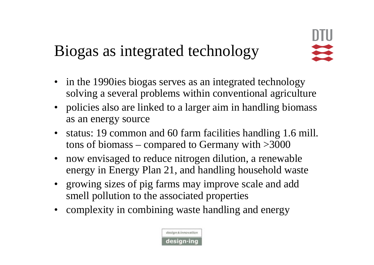### Biogas as integrated technology

- in the 1990ies biogas serves as an integrated technology solving a several problems within conventional agriculture
- policies also are linked to a larger aim in handling biomass as an energy source
- status: 19 common and 60 farm facilities handling 1.6 mill. tons of biomass – compared to Germany with >3000
- now envisaged to reduce nitrogen dilution, a renewable energy in Energy Plan 21, and handling household waste
- growing sizes of pig farms may improve scale and add smell pollution to the associated properties
- complexity in combining waste handling and energy

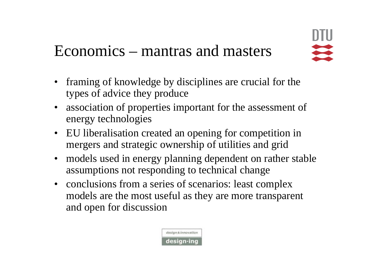#### Economics – mantras and masters

- framing of knowledge by disciplines are crucial for the types of advice they produce
- association of properties important for the assessment of energy technologies
- EU liberalisation created an opening for competition in mergers and strategic ownership of utilities and grid
- models used in energy planning dependent on rather stable assumptions not responding to technical change
- conclusions from a series of scenarios: least complex models are the most useful as they are more transparent and open for discussion

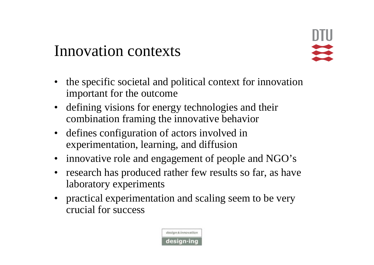#### Innovation contexts

- the specific societal and political context for innovation important for the outcome
- defining visions for energy technologies and their combination framing the innovative behavior
- defines configuration of actors involved in experimentation, learning, and diffusion
- innovative role and engagement of people and NGO's
- research has produced rather few results so far, as have laboratory experiments
- practical experimentation and scaling seem to be very crucial for success

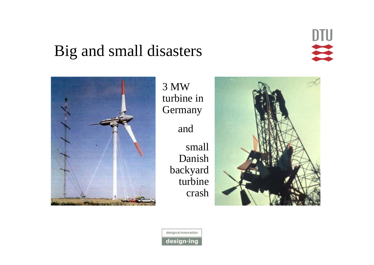#### Big and small disasters





3 MW turbine in Germany

and

small Danish backyard turbine crash



design & innovation design-ing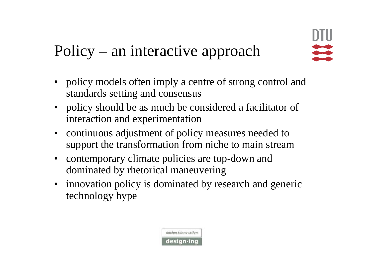### Policy – an interactive approach

- policy models often imply a centre of strong control and standards setting and consensus
- policy should be as much be considered a facilitator of interaction and experimentation
- continuous adjustment of policy measures needed to support the transformation from niche to main stream
- contemporary climate policies are top-down and dominated by rhetorical maneuvering
- innovation policy is dominated by research and generic technology hype